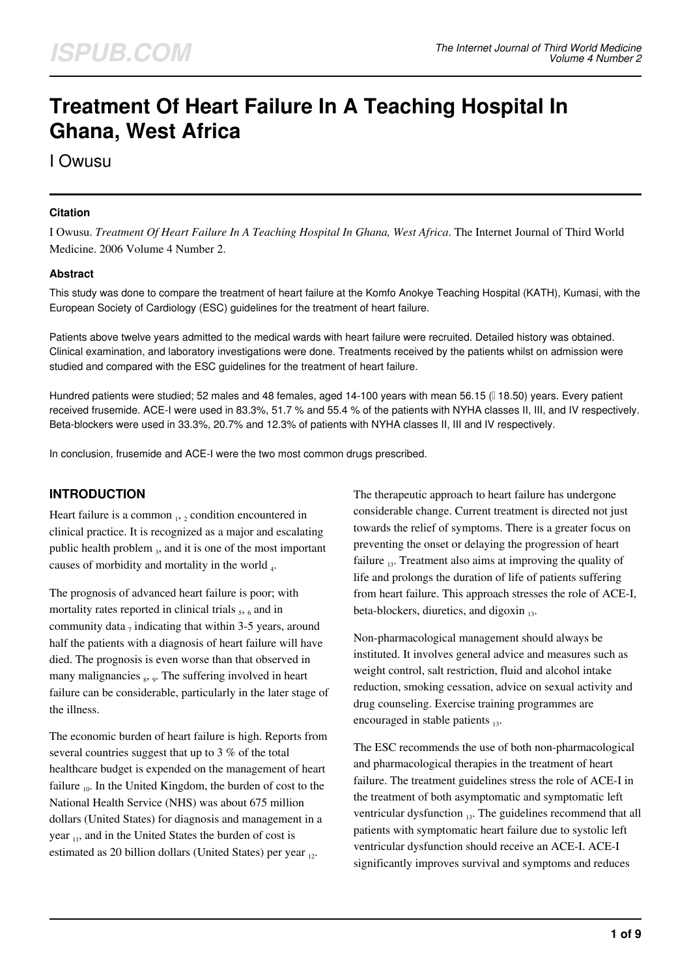# **Treatment Of Heart Failure In A Teaching Hospital In Ghana, West Africa**

I Owusu

#### **Citation**

I Owusu. *Treatment Of Heart Failure In A Teaching Hospital In Ghana, West Africa*. The Internet Journal of Third World Medicine. 2006 Volume 4 Number 2.

#### **Abstract**

This study was done to compare the treatment of heart failure at the Komfo Anokye Teaching Hospital (KATH), Kumasi, with the European Society of Cardiology (ESC) guidelines for the treatment of heart failure.

Patients above twelve years admitted to the medical wards with heart failure were recruited. Detailed history was obtained. Clinical examination, and laboratory investigations were done. Treatments received by the patients whilst on admission were studied and compared with the ESC guidelines for the treatment of heart failure.

Hundred patients were studied; 52 males and 48 females, aged 14-100 years with mean 56.15 (118.50) years. Every patient received frusemide. ACE-I were used in 83.3%, 51.7 % and 55.4 % of the patients with NYHA classes II, III, and IV respectively. Beta-blockers were used in 33.3%, 20.7% and 12.3% of patients with NYHA classes II, III and IV respectively.

In conclusion, frusemide and ACE-I were the two most common drugs prescribed.

# **INTRODUCTION**

Heart failure is a common  $_1$ ,  $_2$  condition encountered in clinical practice. It is recognized as a major and escalating public health problem 3, and it is one of the most important causes of morbidity and mortality in the world  $_4$ .

The prognosis of advanced heart failure is poor; with mortality rates reported in clinical trials  $_5$ ,  $_6$  and in community data  $_7$  indicating that within 3-5 years, around half the patients with a diagnosis of heart failure will have died. The prognosis is even worse than that observed in many malignancies <sub>8</sub>, 9. The suffering involved in heart failure can be considerable, particularly in the later stage of the illness.

The economic burden of heart failure is high. Reports from several countries suggest that up to 3 % of the total healthcare budget is expended on the management of heart failure  $_{10}$ . In the United Kingdom, the burden of cost to the National Health Service (NHS) was about 675 million dollars (United States) for diagnosis and management in a year  $_{11}$ , and in the United States the burden of cost is estimated as 20 billion dollars (United States) per year  $_{12}$ .

The therapeutic approach to heart failure has undergone considerable change. Current treatment is directed not just towards the relief of symptoms. There is a greater focus on preventing the onset or delaying the progression of heart failure  $_{13}$ . Treatment also aims at improving the quality of life and prolongs the duration of life of patients suffering from heart failure. This approach stresses the role of ACE-I, beta-blockers, diuretics, and digoxin  $_{13}$ .

Non-pharmacological management should always be instituted. It involves general advice and measures such as weight control, salt restriction, fluid and alcohol intake reduction, smoking cessation, advice on sexual activity and drug counseling. Exercise training programmes are encouraged in stable patients  $_{13}$ .

The ESC recommends the use of both non-pharmacological and pharmacological therapies in the treatment of heart failure. The treatment guidelines stress the role of ACE-I in the treatment of both asymptomatic and symptomatic left ventricular dysfunction  $_{13}$ . The guidelines recommend that all patients with symptomatic heart failure due to systolic left ventricular dysfunction should receive an ACE-I. ACE-I significantly improves survival and symptoms and reduces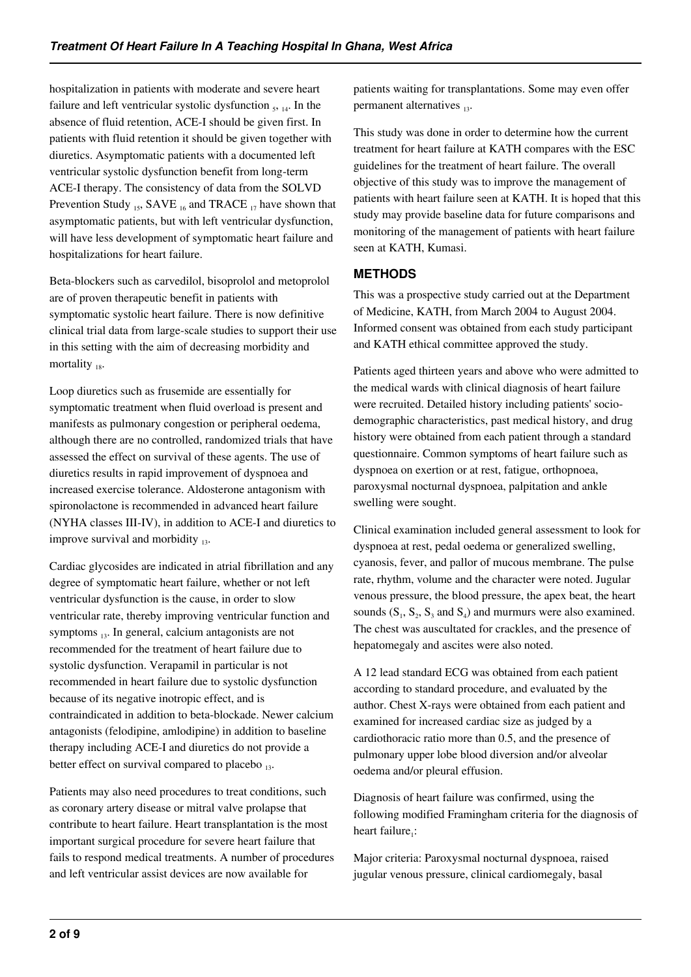hospitalization in patients with moderate and severe heart failure and left ventricular systolic dysfunction  $_5$ ,  $_{14}$ . In the absence of fluid retention, ACE-I should be given first. In patients with fluid retention it should be given together with diuretics. Asymptomatic patients with a documented left ventricular systolic dysfunction benefit from long-term ACE-I therapy. The consistency of data from the SOLVD Prevention Study  $_{15}$ , SAVE  $_{16}$  and TRACE  $_{17}$  have shown that asymptomatic patients, but with left ventricular dysfunction, will have less development of symptomatic heart failure and hospitalizations for heart failure.

Beta-blockers such as carvedilol, bisoprolol and metoprolol are of proven therapeutic benefit in patients with symptomatic systolic heart failure. There is now definitive clinical trial data from large-scale studies to support their use in this setting with the aim of decreasing morbidity and mortality  $_{18}$ .

Loop diuretics such as frusemide are essentially for symptomatic treatment when fluid overload is present and manifests as pulmonary congestion or peripheral oedema, although there are no controlled, randomized trials that have assessed the effect on survival of these agents. The use of diuretics results in rapid improvement of dyspnoea and increased exercise tolerance. Aldosterone antagonism with spironolactone is recommended in advanced heart failure (NYHA classes III-IV), in addition to ACE-I and diuretics to improve survival and morbidity  $_{13}$ .

Cardiac glycosides are indicated in atrial fibrillation and any degree of symptomatic heart failure, whether or not left ventricular dysfunction is the cause, in order to slow ventricular rate, thereby improving ventricular function and symptoms <sub>13</sub>. In general, calcium antagonists are not recommended for the treatment of heart failure due to systolic dysfunction. Verapamil in particular is not recommended in heart failure due to systolic dysfunction because of its negative inotropic effect, and is contraindicated in addition to beta-blockade. Newer calcium antagonists (felodipine, amlodipine) in addition to baseline therapy including ACE-I and diuretics do not provide a better effect on survival compared to placebo  $_{13}$ .

Patients may also need procedures to treat conditions, such as coronary artery disease or mitral valve prolapse that contribute to heart failure. Heart transplantation is the most important surgical procedure for severe heart failure that fails to respond medical treatments. A number of procedures and left ventricular assist devices are now available for

patients waiting for transplantations. Some may even offer permanent alternatives  $_{13}$ .

This study was done in order to determine how the current treatment for heart failure at KATH compares with the ESC guidelines for the treatment of heart failure. The overall objective of this study was to improve the management of patients with heart failure seen at KATH. It is hoped that this study may provide baseline data for future comparisons and monitoring of the management of patients with heart failure seen at KATH, Kumasi.

## **METHODS**

This was a prospective study carried out at the Department of Medicine, KATH, from March 2004 to August 2004. Informed consent was obtained from each study participant and KATH ethical committee approved the study.

Patients aged thirteen years and above who were admitted to the medical wards with clinical diagnosis of heart failure were recruited. Detailed history including patients' sociodemographic characteristics, past medical history, and drug history were obtained from each patient through a standard questionnaire. Common symptoms of heart failure such as dyspnoea on exertion or at rest, fatigue, orthopnoea, paroxysmal nocturnal dyspnoea, palpitation and ankle swelling were sought.

Clinical examination included general assessment to look for dyspnoea at rest, pedal oedema or generalized swelling, cyanosis, fever, and pallor of mucous membrane. The pulse rate, rhythm, volume and the character were noted. Jugular venous pressure, the blood pressure, the apex beat, the heart sounds  $(S_1, S_2, S_3, S_4)$  and murmurs were also examined. The chest was auscultated for crackles, and the presence of hepatomegaly and ascites were also noted.

A 12 lead standard ECG was obtained from each patient according to standard procedure, and evaluated by the author. Chest X-rays were obtained from each patient and examined for increased cardiac size as judged by a cardiothoracic ratio more than 0.5, and the presence of pulmonary upper lobe blood diversion and/or alveolar oedema and/or pleural effusion.

Diagnosis of heart failure was confirmed, using the following modified Framingham criteria for the diagnosis of heart failure<sub>1</sub>:

Major criteria: Paroxysmal nocturnal dyspnoea, raised jugular venous pressure, clinical cardiomegaly, basal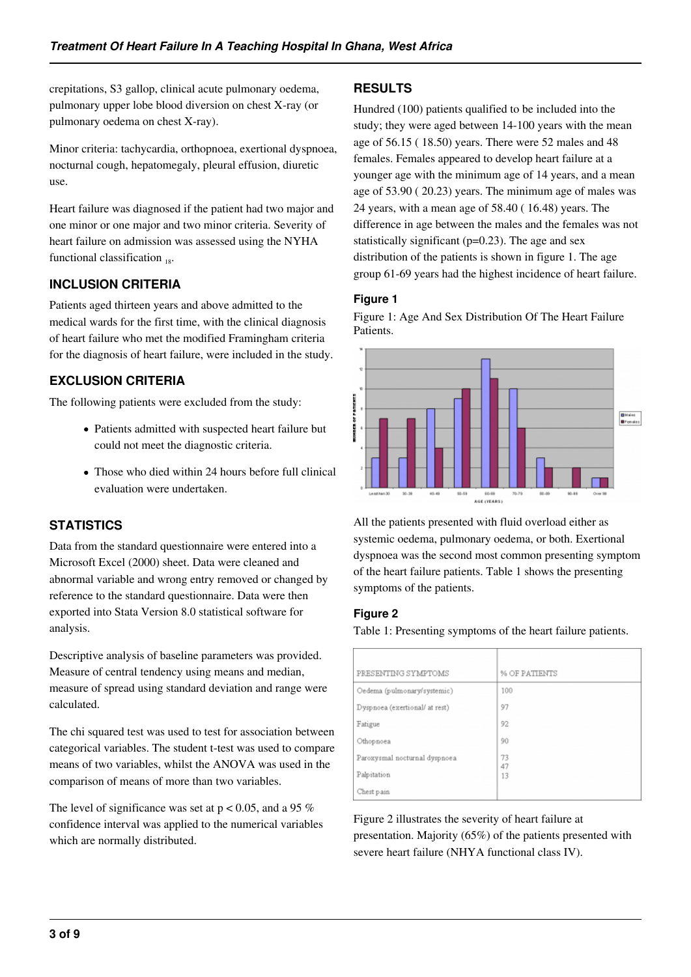crepitations, S3 gallop, clinical acute pulmonary oedema, pulmonary upper lobe blood diversion on chest X-ray (or pulmonary oedema on chest X-ray).

Minor criteria: tachycardia, orthopnoea, exertional dyspnoea, nocturnal cough, hepatomegaly, pleural effusion, diuretic use.

Heart failure was diagnosed if the patient had two major and one minor or one major and two minor criteria. Severity of heart failure on admission was assessed using the NYHA functional classification  $_{18}$ .

# **INCLUSION CRITERIA**

Patients aged thirteen years and above admitted to the medical wards for the first time, with the clinical diagnosis of heart failure who met the modified Framingham criteria for the diagnosis of heart failure, were included in the study.

## **EXCLUSION CRITERIA**

The following patients were excluded from the study:

- Patients admitted with suspected heart failure but could not meet the diagnostic criteria.
- Those who died within 24 hours before full clinical evaluation were undertaken.

# **STATISTICS**

Data from the standard questionnaire were entered into a Microsoft Excel (2000) sheet. Data were cleaned and abnormal variable and wrong entry removed or changed by reference to the standard questionnaire. Data were then exported into Stata Version 8.0 statistical software for analysis.

Descriptive analysis of baseline parameters was provided. Measure of central tendency using means and median, measure of spread using standard deviation and range were calculated.

The chi squared test was used to test for association between categorical variables. The student t-test was used to compare means of two variables, whilst the ANOVA was used in the comparison of means of more than two variables.

The level of significance was set at  $p < 0.05$ , and a 95 % confidence interval was applied to the numerical variables which are normally distributed.

## **RESULTS**

Hundred (100) patients qualified to be included into the study; they were aged between 14-100 years with the mean age of 56.15 ( 18.50) years. There were 52 males and 48 females. Females appeared to develop heart failure at a younger age with the minimum age of 14 years, and a mean age of 53.90 ( 20.23) years. The minimum age of males was 24 years, with a mean age of 58.40 ( 16.48) years. The difference in age between the males and the females was not statistically significant ( $p=0.23$ ). The age and sex distribution of the patients is shown in figure 1. The age group 61-69 years had the highest incidence of heart failure.

#### **Figure 1**

Figure 1: Age And Sex Distribution Of The Heart Failure Patients.



All the patients presented with fluid overload either as systemic oedema, pulmonary oedema, or both. Exertional dyspnoea was the second most common presenting symptom of the heart failure patients. Table 1 shows the presenting symptoms of the patients.

#### **Figure 2**

Table 1: Presenting symptoms of the heart failure patients.

| PRESENTING SYMPTOMS            | % OF PATIENTS |
|--------------------------------|---------------|
| Oedema (pulmonary/systemic)    | 100           |
| Dyspnoea (exertional/ at rest) | 97            |
| Fatigue                        | 92            |
| Othopnoea                      | 90            |
| Paroxysmal nocturnal dyspnoea  | 73<br>47      |
| Palpitation                    | 13            |
| Chest pain                     |               |

Figure 2 illustrates the severity of heart failure at presentation. Majority (65%) of the patients presented with severe heart failure (NHYA functional class IV).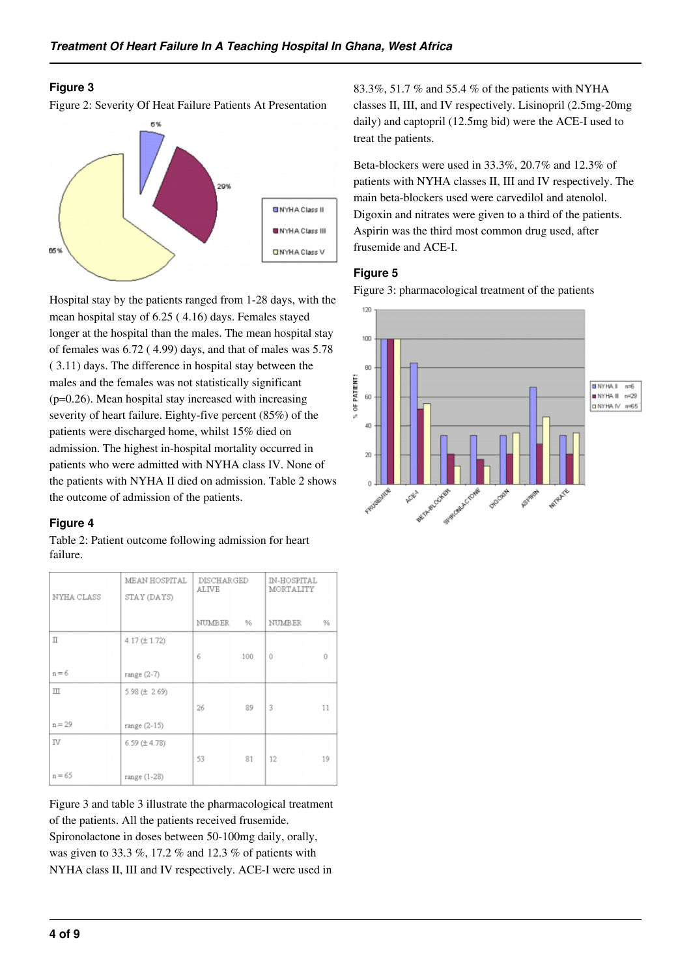#### **Figure 3**

Figure 2: Severity Of Heat Failure Patients At Presentation



Hospital stay by the patients ranged from 1-28 days, with the mean hospital stay of 6.25 ( 4.16) days. Females stayed longer at the hospital than the males. The mean hospital stay of females was 6.72 ( 4.99) days, and that of males was 5.78 ( 3.11) days. The difference in hospital stay between the males and the females was not statistically significant (p=0.26). Mean hospital stay increased with increasing severity of heart failure. Eighty-five percent (85%) of the patients were discharged home, whilst 15% died on admission. The highest in-hospital mortality occurred in patients who were admitted with NYHA class IV. None of the patients with NYHA II died on admission. Table 2 shows the outcome of admission of the patients.

#### **Figure 4**

Table 2: Patient outcome following admission for heart failure.

| NYHA CLASS   | MEAN HOSPITAL<br>STAY (DAYS) | <b>DISCHARGED</b><br><b>ALIVE</b> |      | IN-HOSPITAL<br>MORTALITY |    |
|--------------|------------------------------|-----------------------------------|------|--------------------------|----|
|              |                              | NUMBER                            | $\%$ | <b>NUMBER</b>            | %  |
| Π            | 4.17 (± 1.72)                |                                   |      |                          |    |
|              |                              | 6                                 | 100  | $\Omega$                 | Û  |
| $n = 6$      | range (2-7)                  |                                   |      |                          |    |
| $\mathbb{H}$ | 5.98 (土 2.69)                |                                   |      |                          |    |
|              |                              | 26                                | 89   | 3                        | 11 |
| $n = 29$     | range (2-15)                 |                                   |      |                          |    |
| IV           | 6.59 (±4.78)                 |                                   |      |                          |    |
|              |                              | 53                                | 81   | 12                       | 19 |
| $n = 65$     | range (1-28)                 |                                   |      |                          |    |

Figure 3 and table 3 illustrate the pharmacological treatment of the patients. All the patients received frusemide. Spironolactone in doses between 50-100mg daily, orally, was given to 33.3 %, 17.2 % and 12.3 % of patients with NYHA class II, III and IV respectively. ACE-I were used in

83.3%, 51.7 % and 55.4 % of the patients with NYHA classes II, III, and IV respectively. Lisinopril (2.5mg-20mg daily) and captopril (12.5mg bid) were the ACE-I used to treat the patients.

Beta-blockers were used in 33.3%, 20.7% and 12.3% of patients with NYHA classes II, III and IV respectively. The main beta-blockers used were carvedilol and atenolol. Digoxin and nitrates were given to a third of the patients. Aspirin was the third most common drug used, after frusemide and ACE-I.

## **Figure 5**

Figure 3: pharmacological treatment of the patients

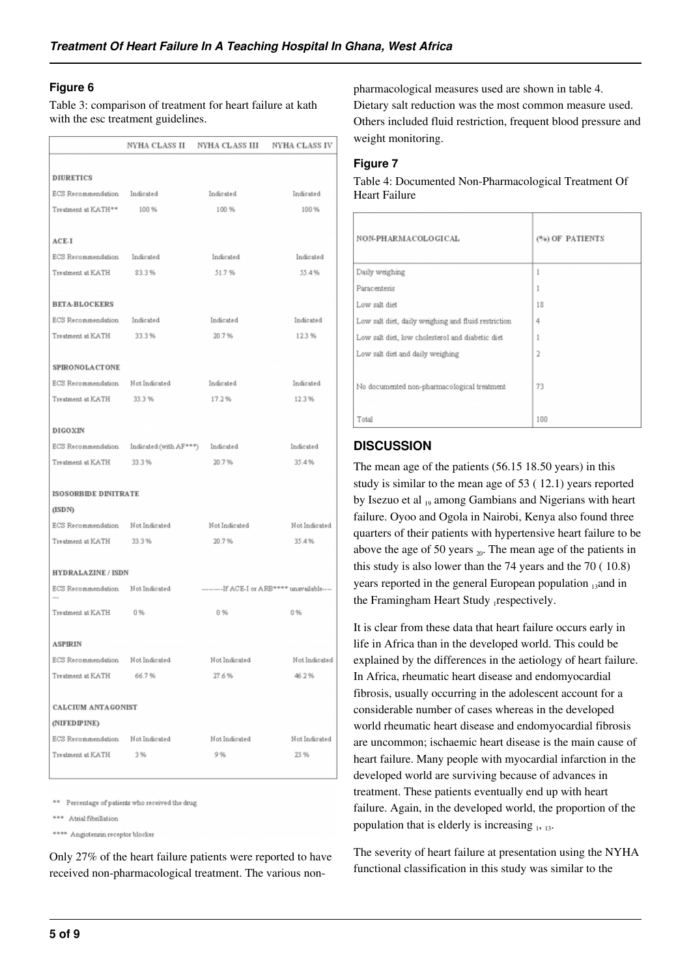#### **Figure 6**

Table 3: comparison of treatment for heart failure at kath with the esc treatment guidelines.

|                                  |                                                     | NYHA CLASS II – NYHA CLASS III | NYHA CLASS IV                                 |  |
|----------------------------------|-----------------------------------------------------|--------------------------------|-----------------------------------------------|--|
|                                  |                                                     |                                |                                               |  |
| <b>DIURETICS</b>                 |                                                     |                                |                                               |  |
| ECS Recommendation Indicated     |                                                     | Indicated                      | Indicated                                     |  |
| Treatment at KATH**              | 100 %                                               | 100 %                          | 100 %                                         |  |
| $ACE-I$                          |                                                     |                                |                                               |  |
| ECS Recommendation Indicated     |                                                     | Indicated                      | Indicated                                     |  |
| Treatment at KATH 83.3 %         |                                                     | 51.7%                          | 55.4%                                         |  |
| <b>BETA-BLOCKERS</b>             |                                                     |                                |                                               |  |
| ECS Recommendation Indicated     |                                                     | Indicated                      | Indicated                                     |  |
| Treatment at KATH                | 33.3%                                               | 20.7%                          | 123%                                          |  |
| SPIRONOLACTONE                   |                                                     |                                |                                               |  |
| ECS Recommendation Not Indicated |                                                     | Indicated                      | Indicated                                     |  |
| Treatment at KATH                | 33.3%                                               | 17.2%                          | 12.3%                                         |  |
| <b>DIGOXIN</b>                   |                                                     |                                |                                               |  |
|                                  | ECS Recommendation Indicated (with AF***) Indicated |                                | Indicated                                     |  |
| Treatment at KATH                | 33.3%                                               | 20.7%                          | 35 4 %                                        |  |
| <b>ISOSORBIDE DINITRATE</b>      |                                                     |                                |                                               |  |
| (ISDN)                           |                                                     |                                |                                               |  |
| ECS Recommendation Not Indicated |                                                     | Not Indicated                  | Not Indicated                                 |  |
| Treatment at KATH 33.3 %         |                                                     | 20.7%                          | 35.4%                                         |  |
| <b>HYDRALAZINE / ISDN</b>        |                                                     |                                |                                               |  |
| ECS Recommendation Not Indicated |                                                     |                                | ----------If ACE-I or ARB**** unavailable---- |  |
| Treatment at KATH                | 0%                                                  | 0 %                            | 0%                                            |  |
| <b>ASPIRIN</b>                   |                                                     |                                |                                               |  |
| ECS Recommendation               | Not Indicated                                       | Not Indicated                  | Not Indicated                                 |  |
| Treatment at KATH                | 66.7%                                               | 27.6%                          | 46.2%                                         |  |
| CALCIUM ANTAGONIST               |                                                     |                                |                                               |  |
| (NIFEDIPINE)                     |                                                     |                                |                                               |  |
| ECS Recommendation               | Not Indicated                                       | Not Indicated                  | Not Indicated                                 |  |
| Treatment at KATH                | 3%                                                  | 9%                             | 23 %                                          |  |
|                                  |                                                     |                                |                                               |  |

\*\* Percentage of patients who received the drug

\*\*\* Atrial fibrillation

\*\*\*\* Angiotensin receptor blocker

Only 27% of the heart failure patients were reported to have received non-pharmacological treatment. The various nonpharmacological measures used are shown in table 4. Dietary salt reduction was the most common measure used. Others included fluid restriction, frequent blood pressure and weight monitoring.

#### **Figure 7**

Table 4: Documented Non-Pharmacological Treatment Of Heart Failure

| NON-PHARMACOLOGICAL                                 | (%) OF PATIENTS |
|-----------------------------------------------------|-----------------|
| Daily weighing                                      | 1               |
| Paracentesis                                        | 1               |
| Low salt diet                                       | 18              |
| Low salt diet, daily weighing and fluid restriction | 4               |
| Low salt diet, low cholesterol and diabetic diet    | 1               |
| Low salt diet and daily weighing                    | 2               |
| No documented non-pharmacological treatment         | 73              |
| Total                                               | 100             |

## **DISCUSSION**

The mean age of the patients (56.15 18.50 years) in this study is similar to the mean age of 53 ( 12.1) years reported by Isezuo et al 19 among Gambians and Nigerians with heart failure. Oyoo and Ogola in Nairobi, Kenya also found three quarters of their patients with hypertensive heart failure to be above the age of 50 years  $_{20}$ . The mean age of the patients in this study is also lower than the 74 years and the 70 ( 10.8) years reported in the general European population  $_{13}$  and in the Framingham Heart Study respectively.

It is clear from these data that heart failure occurs early in life in Africa than in the developed world. This could be explained by the differences in the aetiology of heart failure. In Africa, rheumatic heart disease and endomyocardial fibrosis, usually occurring in the adolescent account for a considerable number of cases whereas in the developed world rheumatic heart disease and endomyocardial fibrosis are uncommon; ischaemic heart disease is the main cause of heart failure. Many people with myocardial infarction in the developed world are surviving because of advances in treatment. These patients eventually end up with heart failure. Again, in the developed world, the proportion of the population that is elderly is increasing  $_1$ ,  $_{13}$ .

The severity of heart failure at presentation using the NYHA functional classification in this study was similar to the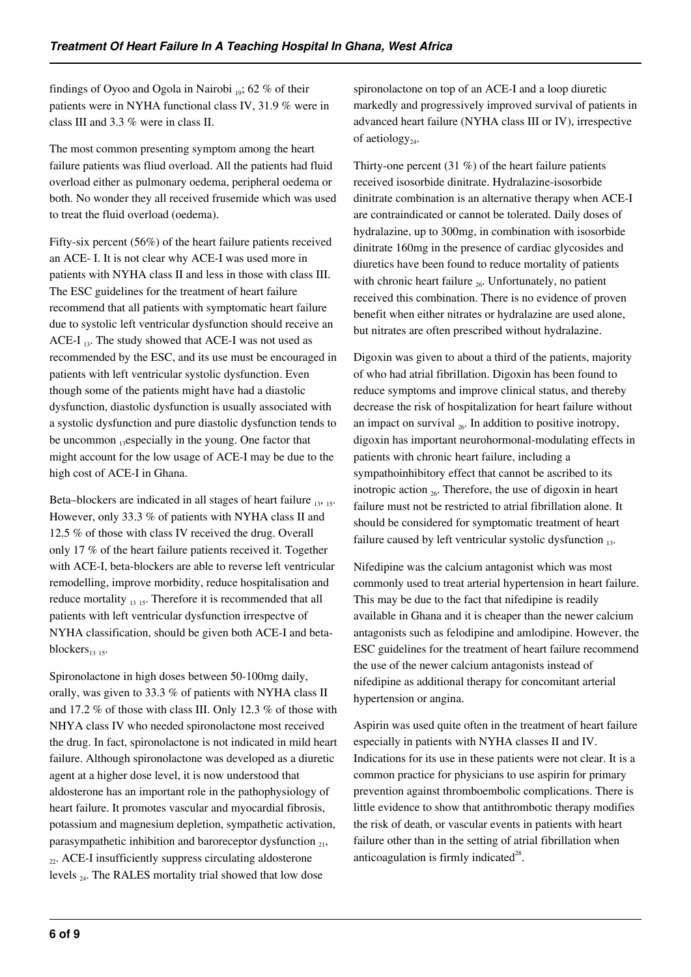findings of Oyoo and Ogola in Nairobi  $_{19}$ ; 62 % of their patients were in NYHA functional class IV, 31.9 % were in class III and 3.3 % were in class II.

The most common presenting symptom among the heart failure patients was fliud overload. All the patients had fluid overload either as pulmonary oedema, peripheral oedema or both. No wonder they all received frusemide which was used to treat the fluid overload (oedema).

Fifty-six percent (56%) of the heart failure patients received an ACE- I. It is not clear why ACE-I was used more in patients with NYHA class II and less in those with class III. The ESC guidelines for the treatment of heart failure recommend that all patients with symptomatic heart failure due to systolic left ventricular dysfunction should receive an ACE-I  $_{13}$ . The study showed that ACE-I was not used as recommended by the ESC, and its use must be encouraged in patients with left ventricular systolic dysfunction. Even though some of the patients might have had a diastolic dysfunction, diastolic dysfunction is usually associated with a systolic dysfunction and pure diastolic dysfunction tends to be uncommon  $_{13}$ especially in the young. One factor that might account for the low usage of ACE-I may be due to the high cost of ACE-I in Ghana.

Beta–blockers are indicated in all stages of heart failure  $_{13, 15}$ . However, only 33.3 % of patients with NYHA class II and 12.5 % of those with class IV received the drug. Overall only 17 % of the heart failure patients received it. Together with ACE-I, beta-blockers are able to reverse left ventricular remodelling, improve morbidity, reduce hospitalisation and reduce mortality  $_{13 \t15}$ . Therefore it is recommended that all patients with left ventricular dysfunction irrespectve of NYHA classification, should be given both ACE-I and betablockers $_{13 \t15}$ .

Spironolactone in high doses between 50-100mg daily, orally, was given to 33.3 % of patients with NYHA class II and 17.2 % of those with class III. Only 12.3 % of those with NHYA class IV who needed spironolactone most received the drug. In fact, spironolactone is not indicated in mild heart failure. Although spironolactone was developed as a diuretic agent at a higher dose level, it is now understood that aldosterone has an important role in the pathophysiology of heart failure. It promotes vascular and myocardial fibrosis, potassium and magnesium depletion, sympathetic activation, parasympathetic inhibition and baroreceptor dysfunction  $_{21}$ ,  $_{22}$ . ACE-I insufficiently suppress circulating aldosterone levels 24. The RALES mortality trial showed that low dose

spironolactone on top of an ACE-I and a loop diuretic markedly and progressively improved survival of patients in advanced heart failure (NYHA class III or IV), irrespective of aetiology<sub>24</sub>.

Thirty-one percent  $(31\%)$  of the heart failure patients received isosorbide dinitrate. Hydralazine-isosorbide dinitrate combination is an alternative therapy when ACE-I are contraindicated or cannot be tolerated. Daily doses of hydralazine, up to 300mg, in combination with isosorbide dinitrate 160mg in the presence of cardiac glycosides and diuretics have been found to reduce mortality of patients with chronic heart failure  $_{26}$ . Unfortunately, no patient received this combination. There is no evidence of proven benefit when either nitrates or hydralazine are used alone, but nitrates are often prescribed without hydralazine.

Digoxin was given to about a third of the patients, majority of who had atrial fibrillation. Digoxin has been found to reduce symptoms and improve clinical status, and thereby decrease the risk of hospitalization for heart failure without an impact on survival  $_{26}$ . In addition to positive inotropy, digoxin has important neurohormonal-modulating effects in patients with chronic heart failure, including a sympathoinhibitory effect that cannot be ascribed to its inotropic action  $_{26}$ . Therefore, the use of digoxin in heart failure must not be restricted to atrial fibrillation alone. It should be considered for symptomatic treatment of heart failure caused by left ventricular systolic dysfunction  $_{13}$ .

Nifedipine was the calcium antagonist which was most commonly used to treat arterial hypertension in heart failure. This may be due to the fact that nifedipine is readily available in Ghana and it is cheaper than the newer calcium antagonists such as felodipine and amlodipine. However, the ESC guidelines for the treatment of heart failure recommend the use of the newer calcium antagonists instead of nifedipine as additional therapy for concomitant arterial hypertension or angina.

Aspirin was used quite often in the treatment of heart failure especially in patients with NYHA classes II and IV. Indications for its use in these patients were not clear. It is a common practice for physicians to use aspirin for primary prevention against thromboembolic complications. There is little evidence to show that antithrombotic therapy modifies the risk of death, or vascular events in patients with heart failure other than in the setting of atrial fibrillation when anticoagulation is firmly indicated $^{28}$ .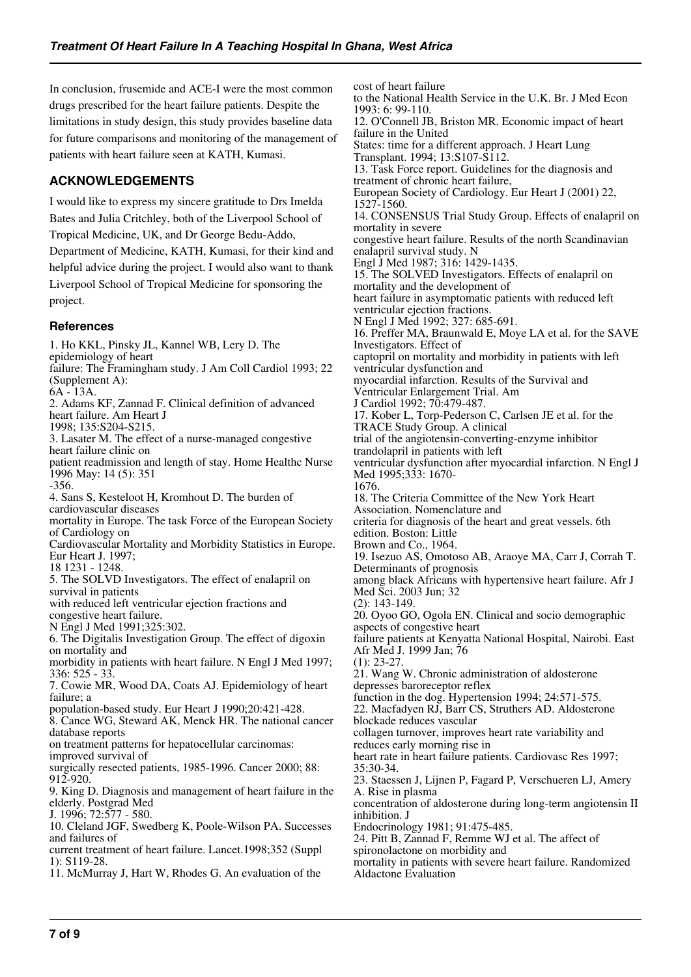In conclusion, frusemide and ACE-I were the most common drugs prescribed for the heart failure patients. Despite the limitations in study design, this study provides baseline data for future comparisons and monitoring of the management of patients with heart failure seen at KATH, Kumasi.

# **ACKNOWLEDGEMENTS**

I would like to express my sincere gratitude to Drs Imelda Bates and Julia Critchley, both of the Liverpool School of Tropical Medicine, UK, and Dr George Bedu-Addo, Department of Medicine, KATH, Kumasi, for their kind and helpful advice during the project. I would also want to thank Liverpool School of Tropical Medicine for sponsoring the project.

#### **References**

1. Ho KKL, Pinsky JL, Kannel WB, Lery D. The epidemiology of heart failure: The Framingham study. J Am Coll Cardiol 1993; 22 (Supplement A): 6A - 13A. 2. Adams KF, Zannad F. Clinical definition of advanced heart failure. Am Heart J 1998; 135:S204-S215. 3. Lasater M. The effect of a nurse-managed congestive heart failure clinic on patient readmission and length of stay. Home Healthc Nurse 1996 May: 14 (5): 351 -356. 4. Sans S, Kesteloot H, Kromhout D. The burden of cardiovascular diseases mortality in Europe. The task Force of the European Society of Cardiology on Cardiovascular Mortality and Morbidity Statistics in Europe. Eur Heart J. 1997; 18 1231 - 1248. 5. The SOLVD Investigators. The effect of enalapril on survival in patients with reduced left ventricular ejection fractions and congestive heart failure. N Engl J Med 1991;325:302. 6. The Digitalis Investigation Group. The effect of digoxin on mortality and morbidity in patients with heart failure. N Engl J Med 1997; 336: 525 - 33. 7. Cowie MR, Wood DA, Coats AJ. Epidemiology of heart failure; a population-based study. Eur Heart J 1990;20:421-428. 8. Cance WG, Steward AK, Menck HR. The national cancer database reports on treatment patterns for hepatocellular carcinomas: improved survival of surgically resected patients, 1985-1996. Cancer 2000; 88: 912-920. 9. King D. Diagnosis and management of heart failure in the elderly. Postgrad Med J. 1996; 72:577 - 580. 10. Cleland JGF, Swedberg K, Poole-Wilson PA. Successes and failures of current treatment of heart failure. Lancet.1998;352 (Suppl 1): S119-28. 11. McMurray J, Hart W, Rhodes G. An evaluation of the

cost of heart failure to the National Health Service in the U.K. Br. J Med Econ 1993: 6: 99-110. 12. O'Connell JB, Briston MR. Economic impact of heart failure in the United States: time for a different approach. J Heart Lung Transplant. 1994; 13:S107-S112. 13. Task Force report. Guidelines for the diagnosis and treatment of chronic heart failure, European Society of Cardiology. Eur Heart J (2001) 22, 1527-1560. 14. CONSENSUS Trial Study Group. Effects of enalapril on mortality in severe congestive heart failure. Results of the north Scandinavian enalapril survival study. N Engl J Med 1987; 316: 1429-1435. 15. The SOLVED Investigators. Effects of enalapril on mortality and the development of heart failure in asymptomatic patients with reduced left ventricular ejection fractions. N Engl J Med 1992; 327: 685-691. 16. Preffer MA, Braunwald E, Moye LA et al. for the SAVE Investigators. Effect of captopril on mortality and morbidity in patients with left ventricular dysfunction and myocardial infarction. Results of the Survival and Ventricular Enlargement Trial. Am J Cardiol 1992; 70:479-487. 17. Kober L, Torp-Pederson C, Carlsen JE et al. for the TRACE Study Group. A clinical trial of the angiotensin-converting-enzyme inhibitor trandolapril in patients with left ventricular dysfunction after myocardial infarction. N Engl J Med 1995;333: 1670- 1676. 18. The Criteria Committee of the New York Heart Association. Nomenclature and criteria for diagnosis of the heart and great vessels. 6th edition. Boston: Little Brown and Co., 1964. 19. Isezuo AS, Omotoso AB, Araoye MA, Carr J, Corrah T. Determinants of prognosis among black Africans with hypertensive heart failure. Afr J Med Sci. 2003 Jun; 32 (2): 143-149. 20. Oyoo GO, Ogola EN. Clinical and socio demographic aspects of congestive heart failure patients at Kenyatta National Hospital, Nairobi. East Afr Med J. 1999 Jan; 76  $(1): 23-27.$ 21. Wang W. Chronic administration of aldosterone depresses baroreceptor reflex function in the dog. Hypertension 1994; 24:571-575. 22. Macfadyen RJ, Barr CS, Struthers AD. Aldosterone blockade reduces vascular collagen turnover, improves heart rate variability and reduces early morning rise in heart rate in heart failure patients. Cardiovasc Res 1997; 35:30-34. 23. Staessen J, Lijnen P, Fagard P, Verschueren LJ, Amery A. Rise in plasma concentration of aldosterone during long-term angiotensin II inhibition. J Endocrinology 1981; 91:475-485. 24. Pitt B, Zannad F, Remme WJ et al. The affect of spironolactone on morbidity and mortality in patients with severe heart failure. Randomized Aldactone Evaluation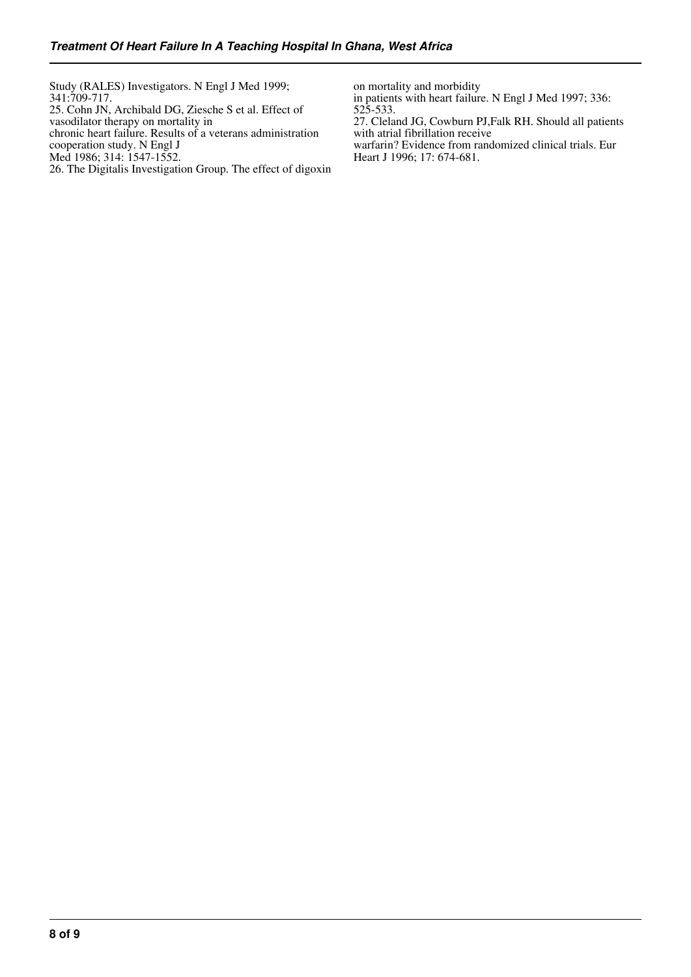Study (RALES) Investigators. N Engl J Med 1999; 341:709-717. 25. Cohn JN, Archibald DG, Ziesche S et al. Effect of vasodilator therapy on mortality in chronic heart failure. Results of a veterans administration cooperation study. N Engl J Med 1986; 314: 1547-1552.

26. The Digitalis Investigation Group. The effect of digoxin

on mortality and morbidity

in patients with heart failure. N Engl J Med 1997; 336: 525-533.

27. Cleland JG, Cowburn PJ,Falk RH. Should all patients with atrial fibrillation receive warfarin? Evidence from randomized clinical trials. Eur Heart J 1996; 17: 674-681.